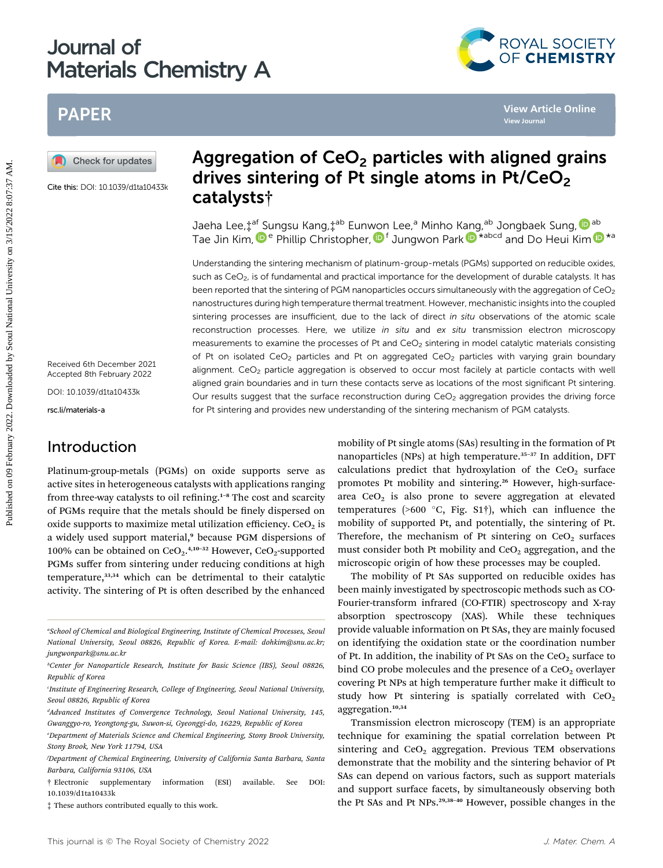# Journal of Materials Chemistry A



# PAPER

Cite this: DOI: 10.1039/d1ta10433k

Received 6th December 2021 Accepted 8th February 2022

DOI: 10.1039/d1ta10433k

rsc.li/materials-a

### Introduction

Platinum-group-metals (PGMs) on oxide supports serve as active sites in heterogeneous catalysts with applications ranging from three-way catalysts to oil refining. $1-8$  The cost and scarcity of PGMs require that the metals should be finely dispersed on oxide supports to maximize metal utilization efficiency.  $CeO<sub>2</sub>$  is a widely used support material,<sup>9</sup> because PGM dispersions of 100% can be obtained on  $CeO<sub>2</sub>$ .<sup>4,10-32</sup> However,  $CeO<sub>2</sub>$ -supported PGMs suffer from sintering under reducing conditions at high temperature,33,34 which can be detrimental to their catalytic activity. The sintering of Pt is often described by the enhanced

# Aggregation of  $CeO<sub>2</sub>$  particles with aligned grains drives sintering of Pt single atoms in  $Pt/CeO<sub>2</sub>$ catalysts†

Jaeha Lee,‡<sup>af</sup> Sungsu Kang,‡<sup>ab</sup> Eun[won](http://orcid.org/0000-0002-4898-5510) Lee,<sup>a</sup> Minho K[ang](http://orcid.org/0000-0003-2927-4331),<sup>ab</sup> Jongbaek Sung, <mark>D</mark>ab Tae Jin Kim[,](http://orcid.org/0000-0002-0096-303X)  $\mathbf{D}^e$  $\mathbf{D}^e$  $\mathbf{D}^e$  Phillip Christopher,  $\mathbf{D}^f$  Jungwon Park  $\mathbf{D}^{\star \text{abcd}}$  and Do Heui Kim  $\mathbf{D}^{\star a}$ 

Understanding the sintering mechanism of platinum-group-metals (PGMs) supported on reducible oxides, such as CeO<sub>2</sub>, is of fundamental and practical importance for the development of durable catalysts. It has been reported that the sintering of PGM nanoparticles occurs simultaneously with the aggregation of CeO<sub>2</sub> nanostructures during high temperature thermal treatment. However, mechanistic insights into the coupled sintering processes are insufficient, due to the lack of direct in situ observations of the atomic scale reconstruction processes. Here, we utilize in situ and ex situ transmission electron microscopy measurements to examine the processes of Pt and  $CeO<sub>2</sub>$  sintering in model catalytic materials consisting of Pt on isolated CeO<sub>2</sub> particles and Pt on aggregated CeO<sub>2</sub> particles with varying grain boundary alignment.  $CeO<sub>2</sub>$  particle aggregation is observed to occur most facilely at particle contacts with well aligned grain boundaries and in turn these contacts serve as locations of the most significant Pt sintering. Our results suggest that the surface reconstruction during CeO<sub>2</sub> aggregation provides the driving force for Pt sintering and provides new understanding of the sintering mechanism of PGM catalysts. Published on 09 February 2022<br> **Published on 09 February 2022.**<br> **Published Articles Sintering of Pt single atoms in Pt/CeO<sub>2</sub><br>
Con this objectives sintering of Pt single atoms in Pt/CeO<sub>2</sub><br>
The JIn Kim,<sup>09</sup> Philip Christo** 

mobility of Pt single atoms (SAs) resulting in the formation of Pt nanoparticles (NPs) at high temperature.<sup>35-37</sup> In addition, DFT calculations predict that hydroxylation of the  $CeO<sub>2</sub>$  surface promotes Pt mobility and sintering.<sup>26</sup> However, high-surfacearea  $CeO<sub>2</sub>$  is also prone to severe aggregation at elevated temperatures (>600 °C, Fig. S1 $\dagger$ ), which can influence the mobility of supported Pt, and potentially, the sintering of Pt. Therefore, the mechanism of Pt sintering on  $CeO<sub>2</sub>$  surfaces must consider both Pt mobility and  $CeO<sub>2</sub>$  aggregation, and the microscopic origin of how these processes may be coupled.

The mobility of Pt SAs supported on reducible oxides has been mainly investigated by spectroscopic methods such as CO-Fourier-transform infrared (CO-FTIR) spectroscopy and X-ray absorption spectroscopy (XAS). While these techniques provide valuable information on Pt SAs, they are mainly focused on identifying the oxidation state or the coordination number of Pt. In addition, the inability of Pt SAs on the  $CeO<sub>2</sub>$  surface to bind CO probe molecules and the presence of a  $CeO<sub>2</sub>$  overlayer covering Pt NPs at high temperature further make it difficult to study how Pt sintering is spatially correlated with  $CeO<sub>2</sub>$ aggregation.10,34

Transmission electron microscopy (TEM) is an appropriate technique for examining the spatial correlation between Pt sintering and  $CeO<sub>2</sub>$  aggregation. Previous TEM observations demonstrate that the mobility and the sintering behavior of Pt SAs can depend on various factors, such as support materials and support surface facets, by simultaneously observing both the Pt SAs and Pt NPs.<sup>29,38-40</sup> However, possible changes in the

a School of Chemical and Biological Engineering, Institute of Chemical Processes, Seoul National University, Seoul 08826, Republic of Korea. E-mail: dohkim@snu.ac.kr; jungwonpark@snu.ac.kr

b Center for Nanoparticle Research, Institute for Basic Science (IBS), Seoul 08826, Republic of Korea

c Institute of Engineering Research, College of Engineering, Seoul National University, Seoul 08826, Republic of Korea

d Advanced Institutes of Convergence Technology, Seoul National University, 145, Gwanggyo-ro, Yeongtong-gu, Suwon-si, Gyeonggi-do, 16229, Republic of Korea

e Department of Materials Science and Chemical Engineering, Stony Brook University, Stony Brook, New York 11794, USA

f Department of Chemical Engineering, University of California Santa Barbara, Santa Barbara, California 93106, USA

<sup>†</sup> Electronic supplementary information (ESI) available. See DOI: 10.1039/d1ta10433k

<sup>‡</sup> These authors contributed equally to this work.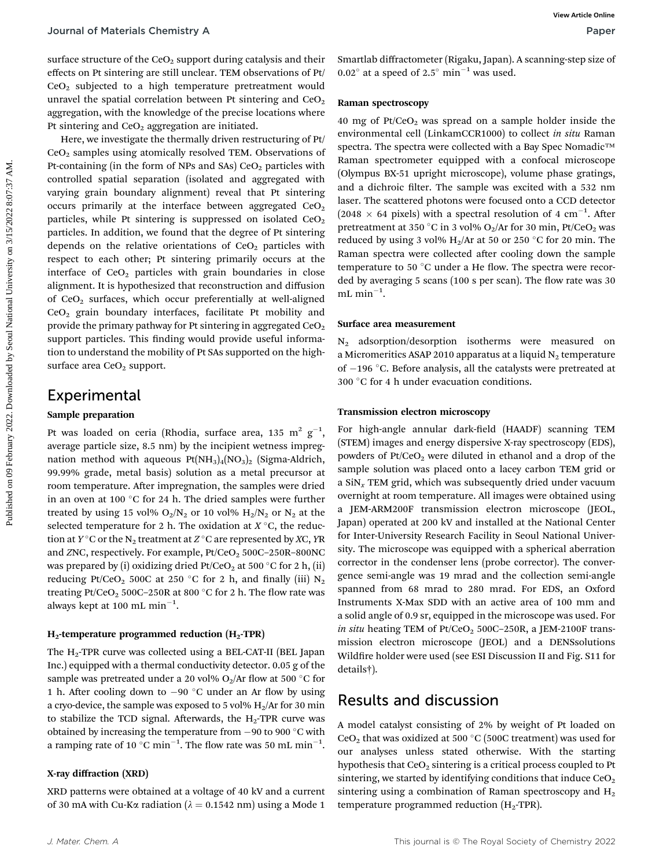surface structure of the  $CeO<sub>2</sub>$  support during catalysis and their effects on Pt sintering are still unclear. TEM observations of Pt/ CeO2 subjected to a high temperature pretreatment would unravel the spatial correlation between Pt sintering and  $CeO<sub>2</sub>$ aggregation, with the knowledge of the precise locations where Pt sintering and  $CeO<sub>2</sub>$  aggregation are initiated.

Here, we investigate the thermally driven restructuring of Pt/  $CeO<sub>2</sub>$  samples using atomically resolved TEM. Observations of Pt-containing (in the form of NPs and SAs)  $CeO<sub>2</sub>$  particles with controlled spatial separation (isolated and aggregated with varying grain boundary alignment) reveal that Pt sintering occurs primarily at the interface between aggregated  $CeO<sub>2</sub>$ particles, while Pt sintering is suppressed on isolated  $CeO<sub>2</sub>$ particles. In addition, we found that the degree of Pt sintering depends on the relative orientations of  $CeO<sub>2</sub>$  particles with respect to each other; Pt sintering primarily occurs at the interface of  $CeO<sub>2</sub>$  particles with grain boundaries in close alignment. It is hypothesized that reconstruction and diffusion of  $CeO<sub>2</sub>$  surfaces, which occur preferentially at well-aligned CeO2 grain boundary interfaces, facilitate Pt mobility and provide the primary pathway for Pt sintering in aggregated  $CeO<sub>2</sub>$ support particles. This finding would provide useful information to understand the mobility of Pt SAs supported on the highsurface area  $CeO<sub>2</sub>$  support. Journal of Materials Chemistry A<br>
starke structure of the Cet), support during enthyis ind their something on a care of  $\approx$  2.57 amin <sup>1</sup> was used.<br>
Consider the spatial correlation between Pt sincering and CeO, varian s

### Experimental

#### Sample preparation

Pt was loaded on ceria (Rhodia, surface area, 135  $\mathrm{m^2}\ \mathrm{g^{-1}},$ average particle size, 8.5 nm) by the incipient wetness impregnation method with aqueous  $Pt(NH_3)_4(NO_3)_2$  (Sigma-Aldrich, 99.99% grade, metal basis) solution as a metal precursor at room temperature. After impregnation, the samples were dried in an oven at 100 $\degree$ C for 24 h. The dried samples were further treated by using 15 vol%  $O_2/N_2$  or 10 vol%  $H_2/N_2$  or  $N_2$  at the selected temperature for 2 h. The oxidation at  $X^{\circ}C$ , the reduction at  $Y^{\circ}$ C or the N<sub>2</sub> treatment at  $Z^{\circ}$ C are represented by XC, YR and ZNC, respectively. For example, Pt/CeO<sub>2</sub> 500C-250R-800NC was prepared by (i) oxidizing dried  $Pt/CeO<sub>2</sub>$  at 500 °C for 2 h, (ii) reducing Pt/CeO<sub>2</sub> 500C at 250 °C for 2 h, and finally (iii)  $N_2$ treating Pt/CeO<sub>2</sub> 500C–250R at 800  $^{\circ}$ C for 2 h. The flow rate was always kept at 100 mL  $\mathrm{min}^{-1}.$ 

### $H_2$ -temperature programmed reduction ( $H_2$ -TPR)

The  $H_2$ -TPR curve was collected using a BEL-CAT-II (BEL Japan Inc.) equipped with a thermal conductivity detector. 0.05 g of the sample was pretreated under a 20 vol%  $O_2/Ar$  flow at 500 °C for 1 h. After cooling down to  $-90$  °C under an Ar flow by using a cryo-device, the sample was exposed to 5 vol%  $H_2/Ar$  for 30 min to stabilize the TCD signal. Afterwards, the  $H_2$ -TPR curve was obtained by increasing the temperature from  $-90$  to  $900 °C$  with a ramping rate of 10  $^{\circ} \mathrm{C}$  min $^{-1}$ . The flow rate was 50 mL min $^{-1}$ .

### X-ray diffraction (XRD)

XRD patterns were obtained at a voltage of 40 kV and a current of 30 mA with Cu-K $\alpha$  radiation ( $\lambda = 0.1542$  nm) using a Mode 1

Smartlab diffractometer (Rigaku, Japan). A scanning-step size of  $0.02^{\circ}$  at a speed of 2.5° min<sup>-1</sup> was used.

#### Raman spectroscopy

40 mg of Pt/CeO<sub>2</sub> was spread on a sample holder inside the environmental cell (LinkamCCR1000) to collect in situ Raman spectra. The spectra were collected with a Bay Spec Nomadic™ Raman spectrometer equipped with a confocal microscope (Olympus BX-51 upright microscope), volume phase gratings, and a dichroic filter. The sample was excited with a 532 nm laser. The scattered photons were focused onto a CCD detector  $(2048 \times 64 \text{ pixels})$  with a spectral resolution of 4 cm<sup>-1</sup>. After pretreatment at 350 °C in 3 vol% O<sub>2</sub>/Ar for 30 min, Pt/CeO<sub>2</sub> was reduced by using 3 vol%  $H_2/Ar$  at 50 or 250 °C for 20 min. The Raman spectra were collected after cooling down the sample temperature to 50  $^{\circ}$ C under a He flow. The spectra were recorded by averaging  $5$  scans (100 s per scan). The flow rate was  $30$  $mL$  min<sup>-1</sup>.

#### Surface area measurement

 $N_2$  adsorption/desorption isotherms were measured on a Micromeritics ASAP 2010 apparatus at a liquid  $N_2$  temperature of  $-196$  °C. Before analysis, all the catalysts were pretreated at 300 °C for 4 h under evacuation conditions.

#### Transmission electron microscopy

For high-angle annular dark-field (HAADF) scanning TEM (STEM) images and energy dispersive X-ray spectroscopy (EDS), powders of  $Pt/CeO<sub>2</sub>$  were diluted in ethanol and a drop of the sample solution was placed onto a lacey carbon TEM grid or a  $\sin x$  TEM grid, which was subsequently dried under vacuum overnight at room temperature. All images were obtained using a JEM-ARM200F transmission electron microscope (JEOL, Japan) operated at 200 kV and installed at the National Center for Inter-University Research Facility in Seoul National University. The microscope was equipped with a spherical aberration corrector in the condenser lens (probe corrector). The convergence semi-angle was 19 mrad and the collection semi-angle spanned from 68 mrad to 280 mrad. For EDS, an Oxford Instruments X-Max SDD with an active area of 100 mm and a solid angle of 0.9 sr, equipped in the microscope was used. For in situ heating TEM of  $Pt/CeO<sub>2</sub> 500C-250R$ , a JEM-2100F transmission electron microscope (JEOL) and a DENSsolutions Wildfire holder were used (see ESI Discussion II and Fig. S11 for details†).

### Results and discussion

A model catalyst consisting of 2% by weight of Pt loaded on CeO<sub>2</sub> that was oxidized at 500  $^{\circ}$ C (500C treatment) was used for our analyses unless stated otherwise. With the starting hypothesis that CeO<sub>2</sub> sintering is a critical process coupled to Pt sintering, we started by identifying conditions that induce  $CeO<sub>2</sub>$ sintering using a combination of Raman spectroscopy and  $H_2$ temperature programmed reduction  $(H_2$ -TPR).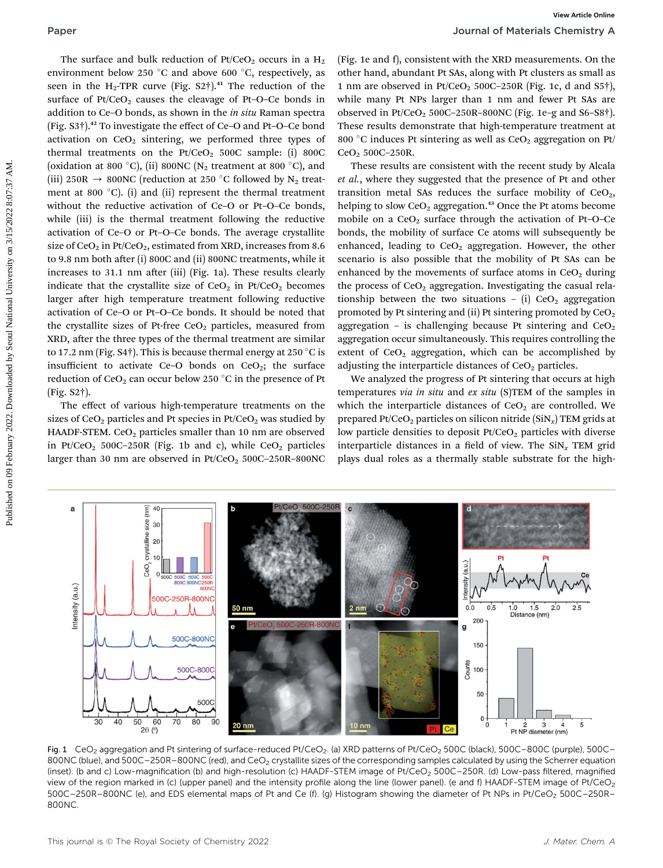The surface and bulk reduction of  $Pt/CeO<sub>2</sub>$  occurs in a  $H<sub>2</sub>$ environment below 250 °C and above 600 °C, respectively, as seen in the  $H_2$ -TPR curve (Fig. S2†).<sup>41</sup> The reduction of the surface of  $Pt/CeO<sub>2</sub>$  causes the cleavage of Pt–O–Ce bonds in addition to Ce–O bonds, as shown in the in situ Raman spectra (Fig. S3†).<sup>42</sup> To investigate the effect of Ce–O and Pt–O–Ce bond activation on  $CeO<sub>2</sub>$  sintering, we performed three types of thermal treatments on the  $Pt/CeO<sub>2</sub>$  500C sample: (i) 800C (oxidation at 800 °C), (ii) 800NC ( $N_2$  treatment at 800 °C), and (iii) 250R  $\rightarrow$  800NC (reduction at 250 °C followed by N<sub>2</sub> treatment at 800 $^{\circ}$ C). (i) and (ii) represent the thermal treatment without the reductive activation of Ce–O or Pt–O–Ce bonds, while (iii) is the thermal treatment following the reductive activation of Ce–O or Pt–O–Ce bonds. The average crystallite size of  $CeO<sub>2</sub>$  in Pt/CeO<sub>2</sub>, estimated from XRD, increases from 8.6 to 9.8 nm both after (i) 800C and (ii) 800NC treatments, while it increases to 31.1 nm after (iii) (Fig. 1a). These results clearly indicate that the crystallite size of  $CeO<sub>2</sub>$  in Pt/CeO<sub>2</sub> becomes larger after high temperature treatment following reductive activation of Ce–O or Pt–O–Ce bonds. It should be noted that the crystallite sizes of Pt-free CeO<sub>2</sub> particles, measured from XRD, after the three types of the thermal treatment are similar to 17.2 nm (Fig. S4 $\dagger$ ). This is because thermal energy at 250 °C is insufficient to activate Ce–O bonds on  $CeO<sub>2</sub>$ ; the surface reduction of  $CeO<sub>2</sub>$  can occur below 250 °C in the presence of Pt (Fig. S2†). Published control on 19 February 2022. Download of the Columbia of Telectric Columbia of the Columbia of the Columbia of the Columbia of the Columbia of the Columbia of the Columbia of the Columbia of the Columbia of the C

The effect of various high-temperature treatments on the sizes of CeO<sub>2</sub> particles and Pt species in Pt/CeO<sub>2</sub> was studied by HAADF-STEM. CeO<sub>2</sub> particles smaller than 10 nm are observed in Pt/CeO<sub>2</sub> 500C-250R (Fig. 1b and c), while  $CeO<sub>2</sub>$  particles larger than 30 nm are observed in  $Pt/CeO<sub>2</sub> 500C-250R-800NC$ 

(Fig. 1e and f), consistent with the XRD measurements. On the other hand, abundant Pt SAs, along with Pt clusters as small as 1 nm are observed in  $Pt/CeO<sub>2</sub> 500C-250R$  (Fig. 1c, d and S5 $\dagger$ ), while many Pt NPs larger than 1 nm and fewer Pt SAs are observed in Pt/CeO<sub>2</sub> 500C-250R-800NC (Fig. 1e-g and S6-S8 $\dagger$ ). These results demonstrate that high-temperature treatment at 800 °C induces Pt sintering as well as  $CeO<sub>2</sub>$  aggregation on Pt/ CeO<sub>2</sub> 500C-250R.

These results are consistent with the recent study by Alcala et al., where they suggested that the presence of Pt and other transition metal SAs reduces the surface mobility of  $CeO<sub>2</sub>$ , helping to slow  $CeO<sub>2</sub>$  aggregation.<sup>43</sup> Once the Pt atoms become mobile on a  $CeO<sub>2</sub>$  surface through the activation of Pt–O–Ce bonds, the mobility of surface Ce atoms will subsequently be enhanced, leading to  $CeO<sub>2</sub>$  aggregation. However, the other scenario is also possible that the mobility of Pt SAs can be enhanced by the movements of surface atoms in  $CeO<sub>2</sub>$  during the process of  $CeO<sub>2</sub>$  aggregation. Investigating the casual relationship between the two situations – (i)  $CeO<sub>2</sub>$  aggregation promoted by Pt sintering and (ii) Pt sintering promoted by  $CeO<sub>2</sub>$ aggregation – is challenging because Pt sintering and  $CeO<sub>2</sub>$ aggregation occur simultaneously. This requires controlling the extent of  $CeO<sub>2</sub>$  aggregation, which can be accomplished by adjusting the interparticle distances of  $CeO<sub>2</sub>$  particles.

We analyzed the progress of Pt sintering that occurs at high temperatures via in situ and ex situ (S)TEM of the samples in which the interparticle distances of  $CeO<sub>2</sub>$  are controlled. We prepared Pt/CeO<sub>2</sub> particles on silicon nitride  $(SiN<sub>x</sub>)$  TEM grids at low particle densities to deposit Pt/CeO<sub>2</sub> particles with diverse interparticle distances in a field of view. The  $\text{SiN}_x$  TEM grid plays dual roles as a thermally stable substrate for the high-



Fig. 1 CeO<sub>2</sub> aggregation and Pt sintering of surface-reduced Pt/CeO<sub>2</sub>. (a) XRD patterns of Pt/CeO<sub>2</sub> 500C (black), 500C–800C (purple), 500C– 800NC (blue), and 500C-250R-800NC (red), and CeO<sub>2</sub> crystallite sizes of the corresponding samples calculated by using the Scherrer equation (inset). (b and c) Low-magnification (b) and high-resolution (c) HAADF-STEM image of Pt/CeO<sub>2</sub> 500C-250R. (d) Low-pass filtered, magnified view of the region marked in (c) (upper panel) and the intensity profile along the line (lower panel). (e and f) HAADF-STEM image of Pt/CeO<sub>2</sub> 500C-250R-800NC (e), and EDS elemental maps of Pt and Ce (f). (g) Histogram showing the diameter of Pt NPs in Pt/CeO<sub>2</sub> 500C-250R-800NC.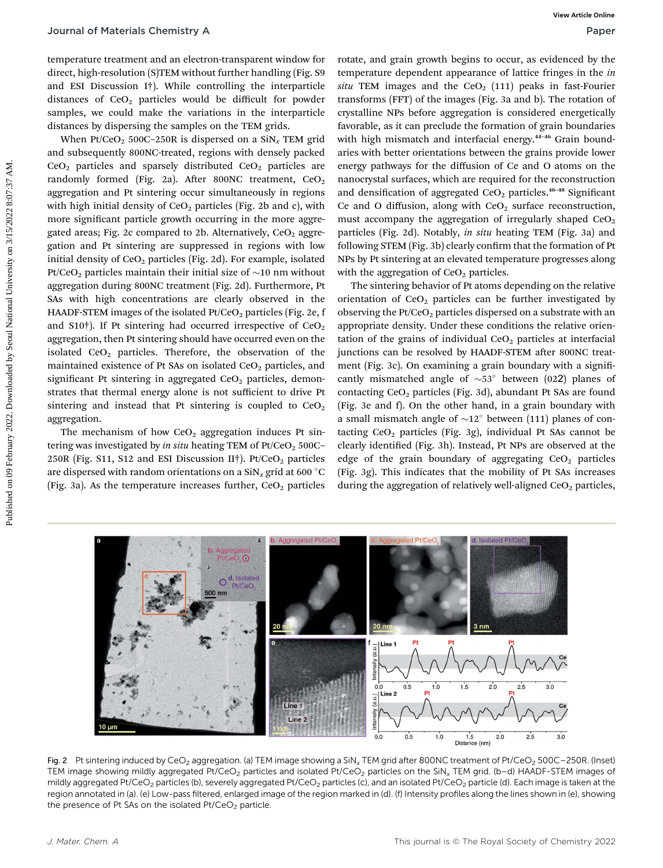temperature treatment and an electron-transparent window for direct, high-resolution (S)TEM without further handling (Fig. S9 and ESI Discussion I†). While controlling the interparticle distances of  $CeO<sub>2</sub>$  particles would be difficult for powder samples, we could make the variations in the interparticle distances by dispersing the samples on the TEM grids.

When Pt/CeO<sub>2</sub> 500C-250R is dispersed on a  $\text{SiN}_x$  TEM grid and subsequently 800NC-treated, regions with densely packed  $CeO<sub>2</sub>$  particles and sparsely distributed  $CeO<sub>2</sub>$  particles are randomly formed (Fig. 2a). After 800NC treatment,  $CeO<sub>2</sub>$ aggregation and Pt sintering occur simultaneously in regions with high initial density of  $CeO<sub>2</sub>$  particles (Fig. 2b and c), with more significant particle growth occurring in the more aggregated areas; Fig. 2c compared to 2b. Alternatively,  $CeO<sub>2</sub>$  aggregation and Pt sintering are suppressed in regions with low initial density of  $CeO<sub>2</sub>$  particles (Fig. 2d). For example, isolated Pt/CeO<sub>2</sub> particles maintain their initial size of  $\sim$ 10 nm without aggregation during 800NC treatment (Fig. 2d). Furthermore, Pt SAs with high concentrations are clearly observed in the HAADF-STEM images of the isolated  $Pt/CeO<sub>2</sub>$  particles (Fig. 2e, f and S10†). If Pt sintering had occurred irrespective of  $CeO<sub>2</sub>$ aggregation, then Pt sintering should have occurred even on the isolated  $CeO<sub>2</sub>$  particles. Therefore, the observation of the maintained existence of Pt SAs on isolated  $CeO<sub>2</sub>$  particles, and significant Pt sintering in aggregated  $CeO<sub>2</sub>$  particles, demonstrates that thermal energy alone is not sufficient to drive Pt sintering and instead that Pt sintering is coupled to  $CeO<sub>2</sub>$ aggregation. **Journal of Materials Chemistry A**<br> **Paper convention and one of the convention and the proposition and the proposition of the convention and the second by the convention and the second by the convention and the second an** 

The mechanism of how  $CeO<sub>2</sub>$  aggregation induces Pt sintering was investigated by in situ heating TEM of  $Pt/CeO<sub>2</sub> 500C–$ 250R (Fig. S11, S12 and ESI Discussion II<sup>†</sup>). Pt/CeO<sub>2</sub> particles are dispersed with random orientations on a  $\text{SiN}_x$  grid at 600 °C (Fig. 3a). As the temperature increases further,  $CeO<sub>2</sub>$  particles

rotate, and grain growth begins to occur, as evidenced by the temperature dependent appearance of lattice fringes in the in situ TEM images and the CeO<sub>2</sub> (111) peaks in fast-Fourier transforms (FFT) of the images (Fig. 3a and b). The rotation of crystalline NPs before aggregation is considered energetically favorable, as it can preclude the formation of grain boundaries with high mismatch and interfacial energy.<sup>44-46</sup> Grain boundaries with better orientations between the grains provide lower energy pathways for the diffusion of Ce and O atoms on the nanocrystal surfaces, which are required for the reconstruction and densification of aggregated  $CeO<sub>2</sub>$  particles.<sup>46–48</sup> Significant Ce and O diffusion, along with  $CeO<sub>2</sub>$  surface reconstruction, must accompany the aggregation of irregularly shaped  $CeO<sub>2</sub>$ particles (Fig. 2d). Notably, in situ heating TEM (Fig. 3a) and following STEM (Fig. 3b) clearly confirm that the formation of Pt NPs by Pt sintering at an elevated temperature progresses along with the aggregation of  $CeO<sub>2</sub>$  particles.

The sintering behavior of Pt atoms depending on the relative orientation of  $CeO<sub>2</sub>$  particles can be further investigated by observing the  $Pt/CeO<sub>2</sub>$  particles dispersed on a substrate with an appropriate density. Under these conditions the relative orientation of the grains of individual  $CeO<sub>2</sub>$  particles at interfacial junctions can be resolved by HAADF-STEM after 800NC treatment (Fig. 3c). On examining a grain boundary with a significantly mismatched angle of  $\sim 53^\circ$  between (022) planes of contacting  $CeO<sub>2</sub>$  particles (Fig. 3d), abundant Pt SAs are found (Fig. 3e and f). On the other hand, in a grain boundary with a small mismatch angle of  $\sim 12^\circ$  between (111) planes of contacting  $CeO<sub>2</sub>$  particles (Fig. 3g), individual Pt SAs cannot be clearly identified (Fig. 3h). Instead, Pt NPs are observed at the edge of the grain boundary of aggregating  $CeO<sub>2</sub>$  particles (Fig. 3g). This indicates that the mobility of Pt SAs increases during the aggregation of relatively well-aligned  $CeO<sub>2</sub>$  particles,



Fig. 2 Pt sintering induced by CeO<sub>2</sub> aggregation. (a) TEM image showing a SiN<sub>x</sub> TEM grid after 800NC treatment of Pt/CeO<sub>2</sub> 500C–250R. (Inset) TEM image showing mildly aggregated Pt/CeO<sub>2</sub> particles and isolated Pt/CeO<sub>2</sub> particles on the SiN<sub>x</sub> TEM grid. (b–d) HAADF-STEM images of mildly aggregated Pt/CeO<sub>2</sub> particles (b), severely aggregated Pt/CeO<sub>2</sub> particles (c), and an isolated Pt/CeO<sub>2</sub> particle (d). Each image is taken at the region annotated in (a). (e) Low-pass filtered, enlarged image of the region marked in (d). (f) Intensity profiles along the lines shown in (e), showing the presence of Pt SAs on the isolated  $Pt/CeO<sub>2</sub>$  particle.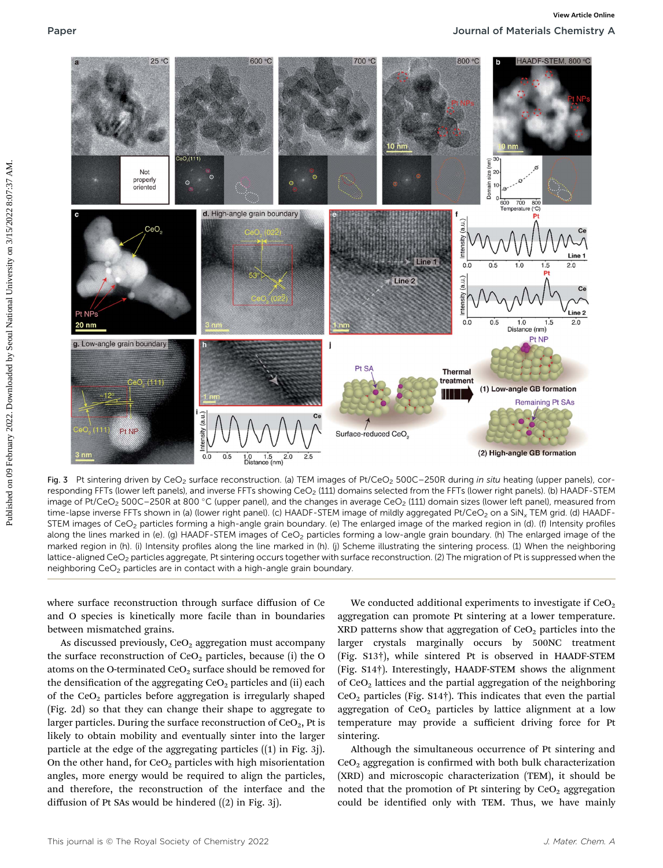

Fig. 3 Pt sintering driven by CeO<sub>2</sub> surface reconstruction. (a) TEM images of Pt/CeO<sub>2</sub> 500C-250R during in situ heating (upper panels), corresponding FFTs (lower left panels), and inverse FFTs showing CeO<sub>2</sub> (111) domains selected from the FFTs (lower right panels). (b) HAADF-STEM image of Pt/CeO<sub>2</sub> 500C-250R at 800 °C (upper panel), and the changes in average CeO<sub>2</sub> (111) domain sizes (lower left panel), measured from time-lapse inverse FFTs shown in (a) (lower right panel). (c) HAADF-STEM image of mildly aggregated Pt/CeO<sub>2</sub> on a SiN<sub>x</sub> TEM grid. (d) HAADF-STEM images of CeO<sub>2</sub> particles forming a high-angle grain boundary. (e) The enlarged image of the marked region in (d). (f) Intensity profiles along the lines marked in (e). (g) HAADF-STEM images of CeO<sub>2</sub> particles forming a low-angle grain boundary. (h) The enlarged image of the marked region in (h). (i) Intensity profiles along the line marked in (h). (j) Scheme illustrating the sintering process. (1) When the neighboring lattice-aligned CeO<sub>2</sub> particles aggregate, Pt sintering occurs together with surface reconstruction. (2) The migration of Pt is suppressed when the neighboring CeO2 particles are in contact with a high-angle grain boundary.

where surface reconstruction through surface diffusion of Ce and O species is kinetically more facile than in boundaries between mismatched grains.

As discussed previously,  $CeO<sub>2</sub>$  aggregation must accompany the surface reconstruction of  $CeO<sub>2</sub>$  particles, because (i) the O atoms on the O-terminated  $CeO<sub>2</sub>$  surface should be removed for the densification of the aggregating  $CeO<sub>2</sub>$  particles and (ii) each of the  $CeO<sub>2</sub>$  particles before aggregation is irregularly shaped (Fig. 2d) so that they can change their shape to aggregate to larger particles. During the surface reconstruction of  $CeO<sub>2</sub>$ , Pt is likely to obtain mobility and eventually sinter into the larger particle at the edge of the aggregating particles ((1) in Fig. 3j). On the other hand, for  $CeO<sub>2</sub>$  particles with high misorientation angles, more energy would be required to align the particles, and therefore, the reconstruction of the interface and the diffusion of Pt SAs would be hindered ((2) in Fig. 3j).

We conducted additional experiments to investigate if  $CeO<sub>2</sub>$ aggregation can promote Pt sintering at a lower temperature. XRD patterns show that aggregation of  $CeO<sub>2</sub>$  particles into the larger crystals marginally occurs by 500NC treatment (Fig. S13†), while sintered Pt is observed in HAADF-STEM (Fig. S14†). Interestingly, HAADF-STEM shows the alignment of CeO<sub>2</sub> lattices and the partial aggregation of the neighboring  $CeO<sub>2</sub>$  particles (Fig. S14†). This indicates that even the partial aggregation of  $CeO<sub>2</sub>$  particles by lattice alignment at a low temperature may provide a sufficient driving force for Pt sintering.

Although the simultaneous occurrence of Pt sintering and  $CeO<sub>2</sub>$  aggregation is confirmed with both bulk characterization (XRD) and microscopic characterization (TEM), it should be noted that the promotion of Pt sintering by  $CeO<sub>2</sub>$  aggregation could be identified only with TEM. Thus, we have mainly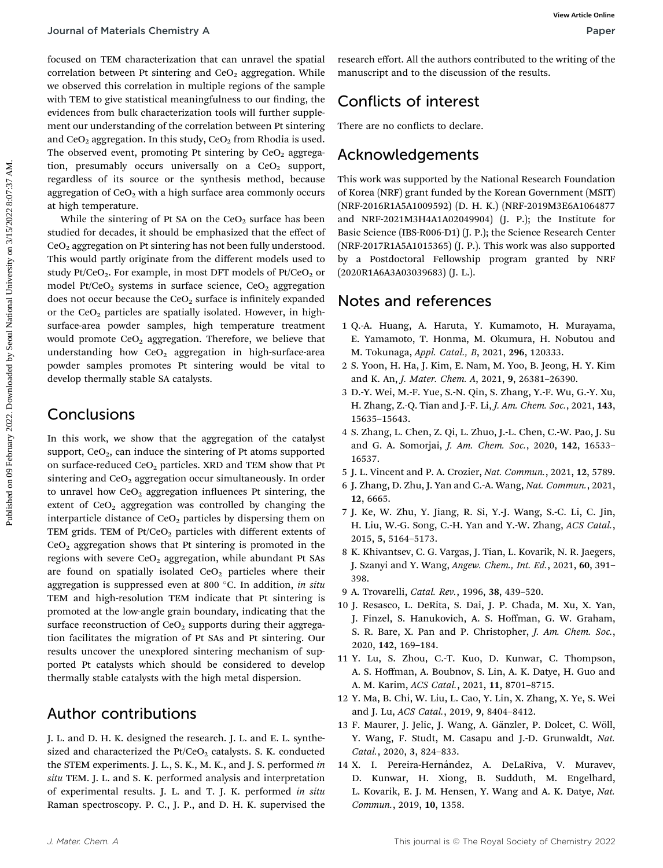focused on TEM characterization that can unravel the spatial correlation between Pt sintering and  $CeO<sub>2</sub>$  aggregation. While we observed this correlation in multiple regions of the sample with TEM to give statistical meaningfulness to our finding, the evidences from bulk characterization tools will further supplement our understanding of the correlation between Pt sintering and  $CeO<sub>2</sub>$  aggregation. In this study,  $CeO<sub>2</sub>$  from Rhodia is used. The observed event, promoting Pt sintering by  $CeO<sub>2</sub>$  aggregation, presumably occurs universally on a  $CeO<sub>2</sub>$  support, regardless of its source or the synthesis method, because aggregation of  $CeO<sub>2</sub>$  with a high surface area commonly occurs at high temperature.

While the sintering of Pt SA on the  $CeO<sub>2</sub>$  surface has been studied for decades, it should be emphasized that the effect of  $CeO<sub>2</sub>$  aggregation on Pt sintering has not been fully understood. This would partly originate from the different models used to study Pt/CeO<sub>2</sub>. For example, in most DFT models of Pt/CeO<sub>2</sub> or model Pt/CeO<sub>2</sub> systems in surface science, CeO<sub>2</sub> aggregation does not occur because the  $CeO<sub>2</sub>$  surface is infinitely expanded or the  $CeO<sub>2</sub>$  particles are spatially isolated. However, in highsurface-area powder samples, high temperature treatment would promote  $CeO<sub>2</sub>$  aggregation. Therefore, we believe that understanding how  $CeO<sub>2</sub>$  aggregation in high-surface-area powder samples promotes Pt sintering would be vital to develop thermally stable SA catalysts. Pour and of Materials Chemistry A<br>
frequencies that can untered the spatial recent enfort, all the authors contributed to the version<br>
or conformed that can be a simple contribute the contributions of the distribution of

### Conclusions

In this work, we show that the aggregation of the catalyst support,  $CeO<sub>2</sub>$ , can induce the sintering of Pt atoms supported on surface-reduced  $CeO<sub>2</sub>$  particles. XRD and TEM show that Pt sintering and  $CeO<sub>2</sub>$  aggregation occur simultaneously. In order to unravel how  $CeO<sub>2</sub>$  aggregation influences Pt sintering, the extent of  $CeO<sub>2</sub>$  aggregation was controlled by changing the interparticle distance of  $CeO<sub>2</sub>$  particles by dispersing them on TEM grids. TEM of  $Pt/CeO<sub>2</sub>$  particles with different extents of  $CeO<sub>2</sub>$  aggregation shows that Pt sintering is promoted in the regions with severe CeO<sub>2</sub> aggregation, while abundant Pt SAs are found on spatially isolated  $CeO<sub>2</sub>$  particles where their aggregation is suppressed even at 800  $^{\circ}$ C. In addition, in situ TEM and high-resolution TEM indicate that Pt sintering is promoted at the low-angle grain boundary, indicating that the surface reconstruction of  $CeO<sub>2</sub>$  supports during their aggregation facilitates the migration of Pt SAs and Pt sintering. Our results uncover the unexplored sintering mechanism of supported Pt catalysts which should be considered to develop thermally stable catalysts with the high metal dispersion.

### Author contributions

J. L. and D. H. K. designed the research. J. L. and E. L. synthesized and characterized the  $Pt/CeO<sub>2</sub>$  catalysts. S. K. conducted the STEM experiments. J. L., S. K., M. K., and J. S. performed in situ TEM. J. L. and S. K. performed analysis and interpretation of experimental results. J. L. and T. J. K. performed in situ Raman spectroscopy. P. C., J. P., and D. H. K. supervised the research effort. All the authors contributed to the writing of the manuscript and to the discussion of the results.

## Conflicts of interest

There are no conflicts to declare.

### Acknowledgements

This work was supported by the National Research Foundation of Korea (NRF) grant funded by the Korean Government (MSIT) (NRF-2016R1A5A1009592) (D. H. K.) (NRF-2019M3E6A1064877 and NRF-2021M3H4A1A02049904) (J. P.); the Institute for Basic Science (IBS-R006-D1) (J. P.); the Science Research Center (NRF-2017R1A5A1015365) (J. P.). This work was also supported by a Postdoctoral Fellowship program granted by NRF (2020R1A6A3A03039683) (J. L.).

### Notes and references

- 1 Q.-A. Huang, A. Haruta, Y. Kumamoto, H. Murayama, E. Yamamoto, T. Honma, M. Okumura, H. Nobutou and M. Tokunaga, Appl. Catal., B, 2021, 296, 120333.
- 2 S. Yoon, H. Ha, J. Kim, E. Nam, M. Yoo, B. Jeong, H. Y. Kim and K. An, J. Mater. Chem. A, 2021, 9, 26381–26390.
- 3 D.-Y. Wei, M.-F. Yue, S.-N. Qin, S. Zhang, Y.-F. Wu, G.-Y. Xu, H. Zhang, Z.-Q. Tian and J.-F. Li, J. Am. Chem. Soc., 2021, 143, 15635–15643.
- 4 S. Zhang, L. Chen, Z. Qi, L. Zhuo, J.-L. Chen, C.-W. Pao, J. Su and G. A. Somorjai, J. Am. Chem. Soc., 2020, 142, 16533– 16537.
- 5 J. L. Vincent and P. A. Crozier, Nat. Commun., 2021, 12, 5789.
- 6 J. Zhang, D. Zhu, J. Yan and C.-A. Wang, Nat. Commun., 2021, 12, 6665.
- 7 J. Ke, W. Zhu, Y. Jiang, R. Si, Y.-J. Wang, S.-C. Li, C. Jin, H. Liu, W.-G. Song, C.-H. Yan and Y.-W. Zhang, ACS Catal., 2015, 5, 5164–5173.
- 8 K. Khivantsev, C. G. Vargas, J. Tian, L. Kovarik, N. R. Jaegers, J. Szanyi and Y. Wang, Angew. Chem., Int. Ed., 2021, 60, 391– 398.
- 9 A. Trovarelli, Catal. Rev., 1996, 38, 439–520.
- 10 J. Resasco, L. DeRita, S. Dai, J. P. Chada, M. Xu, X. Yan, J. Finzel, S. Hanukovich, A. S. Hoffman, G. W. Graham, S. R. Bare, X. Pan and P. Christopher, J. Am. Chem. Soc., 2020, 142, 169–184.
- 11 Y. Lu, S. Zhou, C.-T. Kuo, D. Kunwar, C. Thompson, A. S. Hoffman, A. Boubnov, S. Lin, A. K. Datye, H. Guo and A. M. Karim, ACS Catal., 2021, 11, 8701–8715.
- 12 Y. Ma, B. Chi, W. Liu, L. Cao, Y. Lin, X. Zhang, X. Ye, S. Wei and J. Lu, ACS Catal., 2019, 9, 8404–8412.
- 13 F. Maurer, J. Jelic, J. Wang, A. Gänzler, P. Dolcet, C. Wöll, Y. Wang, F. Studt, M. Casapu and J.-D. Grunwaldt, Nat. Catal., 2020, 3, 824–833.
- 14 X. I. Pereira-Hernández, A. DeLaRiva, V. Muravev, D. Kunwar, H. Xiong, B. Sudduth, M. Engelhard, L. Kovarik, E. J. M. Hensen, Y. Wang and A. K. Datye, Nat. Commun., 2019, 10, 1358.